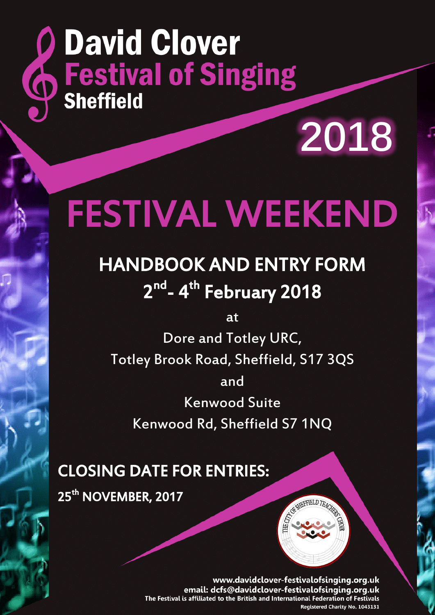# **Q David Clover<br>
Sheffield Singing**

**2018**

## FESTIVAL WEEKEND

## HANDBOOK AND ENTRY FORM 2<sup>nd</sup>- 4<sup>th</sup> February 2018

at

Dore and Totley URC, Totley Brook Road, Sheffield, S17 3QS and Kenwood Suite

Kenwood Rd, Sheffield S7 1NQ

### CLOSING DATE FOR ENTRIES:

25<sup>th</sup> NOVEMBER, 2017

www.davidclover-festivalofsinging.org.uk email: dcfs@davidclover-festivalofsinging.org.uk The Festival is affiliated to the British and International Federation of Festivals Registered Charity No. 1043131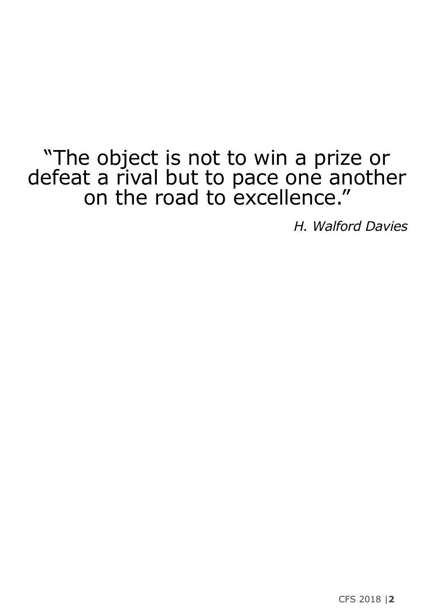## "The object is not to win a prize or defeat a rival but to pace one another on the road to excellence."

*H. Walford Davies*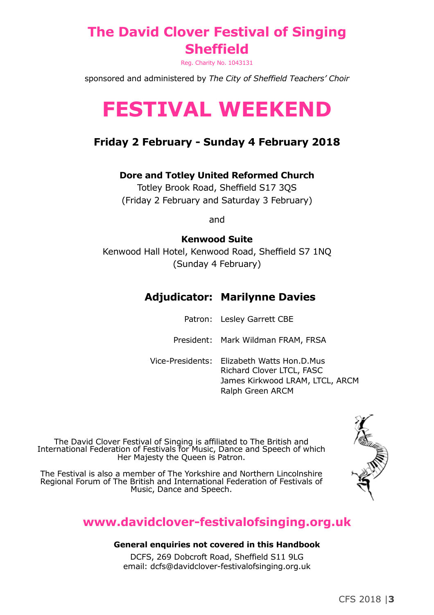#### **The David Clover Festival of Singing Sheffield**

Reg. Charity No. 1043131

sponsored and administered by *The City of Sheffield Teachers' Choir*

## **FESTIVAL WEEKEND**

#### **Friday 2 February - Sunday 4 February 2018**

#### **Dore and Totley United Reformed Church**

Totley Brook Road, Sheffield S17 3QS (Friday 2 February and Saturday 3 February)

and

#### **Kenwood Suite**

Kenwood Hall Hotel, Kenwood Road, Sheffield S7 1NQ (Sunday 4 February)

#### **Adjudicator: Marilynne Davies**

|  | Patron: Lesley Garrett CBE |
|--|----------------------------|
|  |                            |

President: Mark Wildman FRAM, FRSA

Vice-Presidents: Elizabeth Watts Hon.D.Mus Richard Clover LTCL, FASC James Kirkwood LRAM, LTCL, ARCM Ralph Green ARCM

The David Clover Festival of Singing is affiliated to The British and International Federation of Festivals for Music, Dance and Speech of which Her Majesty the Queen is Patron.

The Festival is also a member of The Yorkshire and Northern Lincolnshire Regional Forum of The British and International Federation of Festivals of Music, Dance and Speech.

#### **www.davidclover-festivalofsinging.org.uk**

#### **General enquiries not covered in this Handbook**

DCFS, 269 Dobcroft Road, Sheffield S11 9LG email: dcfs@davidclover-festivalofsinging.org.uk ASSESSMENT PROPERTY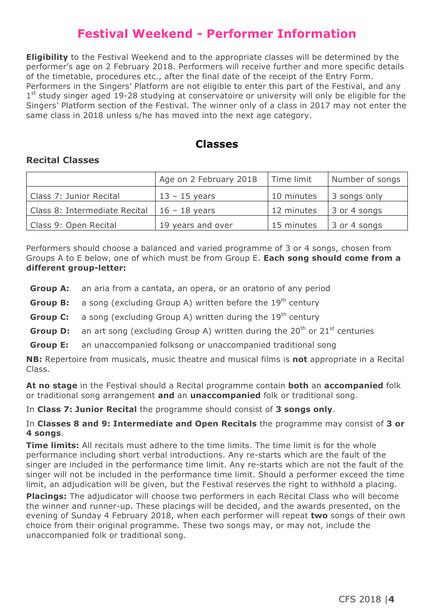#### **Festival Weekend - Performer Information**

**Eligibility** to the Festival Weekend and to the appropriate classes will be determined by the performer's age on 2 February 2018. Performers will receive further and more specific details of the timetable, procedures etc., after the final date of the receipt of the Entry Form. Performers in the Singers' Platform are not eligible to enter this part of the Festival, and any  $1<sup>st</sup>$  study singer aged 19-28 studying at conservatoire or university will only be eligible for the Singers' Platform section of the Festival. The winner only of a class in 2017 may not enter the same class in 2018 unless s/he has moved into the next age category.

#### **Classes**

#### **Recital Classes**

|                               | Age on 2 February 2018 | Time limit | Number of songs |
|-------------------------------|------------------------|------------|-----------------|
| Class 7: Junior Recital       | $13 - 15$ years        | 10 minutes | 3 songs only    |
| Class 8: Intermediate Recital | $16 - 18$ years        | 12 minutes | 3 or 4 songs    |
| Class 9: Open Recital         | 19 years and over      | 15 minutes | 3 or 4 songs    |

Performers should choose a balanced and varied programme of 3 or 4 songs, chosen from Groups A to E below, one of which must be from Group E. **Each song should come from a different group-letter:**

- **Group A:** an aria from a cantata, an opera, or an oratorio of any period
- **Group B:** a song (excluding Group A) written before the 19<sup>th</sup> century
- **Group C:** a song (excluding Group A) written during the 19<sup>th</sup> century
- **Group D:** an art song (excluding Group A) written during the 20<sup>th</sup> or 21<sup>st</sup> centuries
- **Group E:** an unaccompanied folksong or unaccompanied traditional song

**NB:** Repertoire from musicals, music theatre and musical films is **not** appropriate in a Recital Class.

**At no stage** in the Festival should a Recital programme contain **both** an **accompanied** folk or traditional song arrangement **and** an **unaccompanied** folk or traditional song.

In **Class 7: Junior Recital** the programme should consist of **3 songs only**.

#### In **Classes 8 and 9: Intermediate and Open Recitals** the programme may consist of **3 or 4 songs**.

**Time limits:** All recitals must adhere to the time limits. The time limit is for the whole performance including short verbal introductions. Any re-starts which are the fault of the singer are included in the performance time limit. Any re-starts which are not the fault of the singer will not be included in the performance time limit. Should a performer exceed the time limit, an adjudication will be given, but the Festival reserves the right to withhold a placing.

**Placings:** The adjudicator will choose two performers in each Recital Class who will become the winner and runner-up. These placings will be decided, and the awards presented, on the evening of Sunday 4 February 2018, when each performer will repeat **two** songs of their own choice from their original programme. These two songs may, or may not, include the unaccompanied folk or traditional song.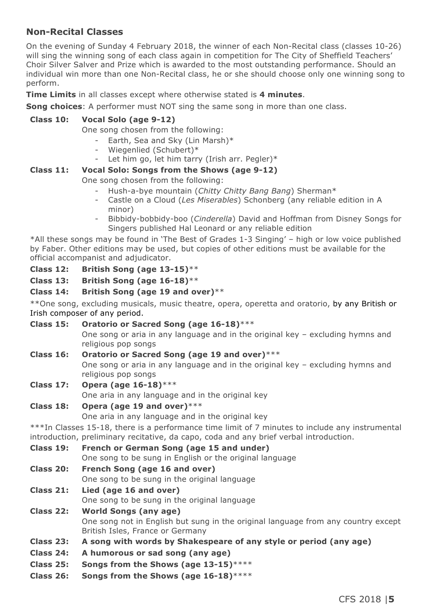#### **Non-Recital Classes**

On the evening of Sunday 4 February 2018, the winner of each Non-Recital class (classes 10-26) will sing the winning song of each class again in competition for The City of Sheffield Teachers' Choir Silver Salver and Prize which is awarded to the most outstanding performance. Should an individual win more than one Non-Recital class, he or she should choose only one winning song to perform.

**Time Limits** in all classes except where otherwise stated is **4 minutes**.

**Song choices**: A performer must NOT sing the same song in more than one class.

#### **Class 10: Vocal Solo (age 9-12)**

One song chosen from the following:

- Earth, Sea and Sky (Lin Marsh)\*
- Wiegenlied (Schubert)\*
- Let him go, let him tarry (Irish arr. Pegler)\*

#### **Class 11: Vocal Solo: Songs from the Shows (age 9-12)**

One song chosen from the following:

- Hush-a-bye mountain (*Chitty Chitty Bang Bang*) Sherman\*
- Castle on a Cloud (*Les Miserables*) Schonberg (any reliable edition in A minor)
- Bibbidy-bobbidy-boo (*Cinderella*) David and Hoffman from Disney Songs for Singers published Hal Leonard or any reliable edition

\*All these songs may be found in 'The Best of Grades 1-3 Singing' – high or low voice published by Faber. Other editions may be used, but copies of other editions must be available for the official accompanist and adjudicator.

**Class 12: British Song (age 13-15)**\*\*

**Class 13: British Song (age 16-18)**\*\*

#### **Class 14: British Song (age 19 and over)**\*\*

\*\*One song, excluding musicals, music theatre, opera, operetta and oratorio, by any British or Irish composer of any period.

- **Class 15: Oratorio or Sacred Song (age 16-18)**\*\*\* One song or aria in any language and in the original key – excluding hymns and religious pop songs
- **Class 16: Oratorio or Sacred Song (age 19 and over)**\*\*\*

One song or aria in any language and in the original key – excluding hymns and religious pop songs

**Class 17: Opera (age 16-18)**\*\*\*

One aria in any language and in the original key

#### **Class 18: Opera (age 19 and over)**\*\*\*

One aria in any language and in the original key

\*\*\*In Classes 15-18, there is a performance time limit of 7 minutes to include any instrumental introduction, preliminary recitative, da capo, coda and any brief verbal introduction.

- **Class 19: French or German Song (age 15 and under)**
	- One song to be sung in English or the original language
- **Class 20: French Song (age 16 and over)**

One song to be sung in the original language

- **Class 21: Lied (age 16 and over)** One song to be sung in the original language
- **Class 22: World Songs (any age)** One song not in English but sung in the original language from any country except British Isles, France or Germany
- **Class 23: A song with words by Shakespeare of any style or period (any age)**
- **Class 24: A humorous or sad song (any age)**
- **Class 25: Songs from the Shows (age 13-15)**\*\*\*\*
- **Class 26: Songs from the Shows (age 16-18)**\*\*\*\*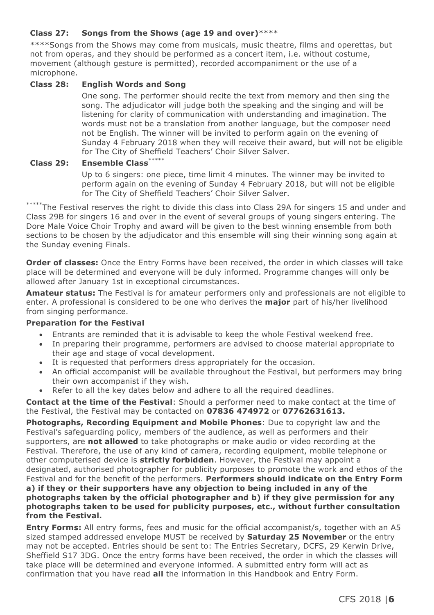#### **Class 27: Songs from the Shows (age 19 and over)**\*\*\*\*

\*\*\*\*Songs from the Shows may come from musicals, music theatre, films and operettas, but not from operas, and they should be performed as a concert item, i.e. without costume, movement (although gesture is permitted), recorded accompaniment or the use of a microphone.

#### **Class 28: English Words and Song**

One song. The performer should recite the text from memory and then sing the song. The adjudicator will judge both the speaking and the singing and will be listening for clarity of communication with understanding and imagination. The words must not be a translation from another language, but the composer need not be English. The winner will be invited to perform again on the evening of Sunday 4 February 2018 when they will receive their award, but will not be eligible for The City of Sheffield Teachers' Choir Silver Salver.

#### **Class 29: Ensemble Class**\*\*\*\*\*

Up to 6 singers: one piece, time limit 4 minutes. The winner may be invited to perform again on the evening of Sunday 4 February 2018, but will not be eligible for The City of Sheffield Teachers' Choir Silver Salver.

\*\*\*\*\*The Festival reserves the right to divide this class into Class 29A for singers 15 and under and Class 29B for singers 16 and over in the event of several groups of young singers entering. The Dore Male Voice Choir Trophy and award will be given to the best winning ensemble from both sections to be chosen by the adjudicator and this ensemble will sing their winning song again at the Sunday evening Finals.

**Order of classes:** Once the Entry Forms have been received, the order in which classes will take place will be determined and everyone will be duly informed. Programme changes will only be allowed after January 1st in exceptional circumstances.

**Amateur status:** The Festival is for amateur performers only and professionals are not eligible to enter. A professional is considered to be one who derives the **major** part of his/her livelihood from singing performance.

#### **Preparation for the Festival**

- Entrants are reminded that it is advisable to keep the whole Festival weekend free.
- In preparing their programme, performers are advised to choose material appropriate to their age and stage of vocal development.
- It is requested that performers dress appropriately for the occasion.
- An official accompanist will be available throughout the Festival, but performers may bring their own accompanist if they wish.
- Refer to all the key dates below and adhere to all the required deadlines.

**Contact at the time of the Festival**: Should a performer need to make contact at the time of the Festival, the Festival may be contacted on **07836 474972** or **07762631613.**

**Photographs, Recording Equipment and Mobile Phones**: Due to copyright law and the Festival's safeguarding policy, members of the audience, as well as performers and their supporters, are **not allowed** to take photographs or make audio or video recording at the Festival. Therefore, the use of any kind of camera, recording equipment, mobile telephone or other computerised device is **strictly forbidden**. However, the Festival may appoint a designated, authorised photographer for publicity purposes to promote the work and ethos of the Festival and for the benefit of the performers. **Performers should indicate on the Entry Form a) if they or their supporters have any objection to being included in any of the photographs taken by the official photographer and b) if they give permission for any photographs taken to be used for publicity purposes, etc., without further consultation from the Festival.**

**Entry Forms:** All entry forms, fees and music for the official accompanist/s, together with an A5 sized stamped addressed envelope MUST be received by **Saturday 25 November** or the entry may not be accepted. Entries should be sent to: The Entries Secretary, DCFS, 29 Kerwin Drive, Sheffield S17 3DG. Once the entry forms have been received, the order in which the classes will take place will be determined and everyone informed. A submitted entry form will act as confirmation that you have read **all** the information in this Handbook and Entry Form.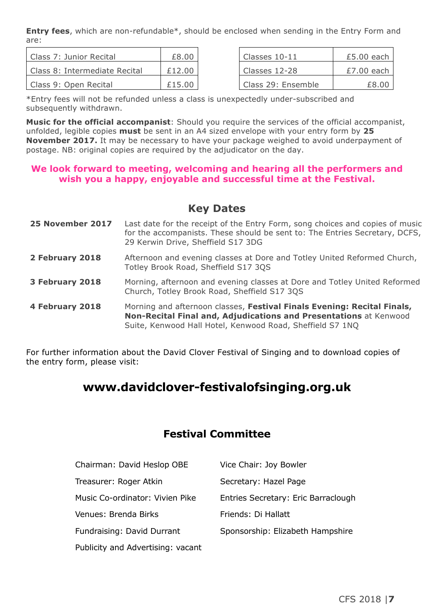**Entry fees**, which are non-refundable\*, should be enclosed when sending in the Entry Form and are:

| l Class 7: Junior Recital     | £8.00  | Classes $10-11$    | $£5.00$ each |
|-------------------------------|--------|--------------------|--------------|
| Class 8: Intermediate Recital | £12.00 | Classes 12-28      | £7.00 each   |
| Class 9: Open Recital         | £15.00 | Class 29: Ensemble | £8.00        |

| Classes 10-11      | $£5.00$ each |
|--------------------|--------------|
| Classes 12-28      | $£7.00$ each |
| Class 29: Ensemble | f8.00        |

\*Entry fees will not be refunded unless a class is unexpectedly under-subscribed and subsequently withdrawn.

**Music for the official accompanist**: Should you require the services of the official accompanist, unfolded, legible copies **must** be sent in an A4 sized envelope with your entry form by **25 November 2017.** It may be necessary to have your package weighed to avoid underpayment of postage. NB: original copies are required by the adjudicator on the day.

#### **We look forward to meeting, welcoming and hearing all the performers and wish you a happy, enjoyable and successful time at the Festival.**

#### **Key Dates**

**25 November 2017** Last date for the receipt of the Entry Form, song choices and copies of music for the accompanists. These should be sent to: The Entries Secretary, DCFS, 29 Kerwin Drive, Sheffield S17 3DG **2 February 2018** Afternoon and evening classes at Dore and Totley United Reformed Church, Totley Brook Road, Sheffield S17 3QS **3 February 2018** Morning, afternoon and evening classes at Dore and Totley United Reformed Church, Totley Brook Road, Sheffield S17 3QS **4 February 2018** Morning and afternoon classes, **Festival Finals Evening: Recital Finals, Non-Recital Final and, Adjudications and Presentations** at Kenwood Suite, Kenwood Hall Hotel, Kenwood Road, Sheffield S7 1NQ

For further information about the David Clover Festival of Singing and to download copies of the entry form, please visit:

#### **www.davidclover-festivalofsinging.org.uk**

#### **Festival Committee**

| Chairman: David Heslop OBE        | Vice Chair: Joy Bowler              |
|-----------------------------------|-------------------------------------|
| Treasurer: Roger Atkin            | Secretary: Hazel Page               |
| Music Co-ordinator: Vivien Pike   | Entries Secretary: Eric Barraclough |
| Venues: Brenda Birks              | Friends: Di Hallatt                 |
| Fundraising: David Durrant        | Sponsorship: Elizabeth Hampshire    |
| Publicity and Advertising: vacant |                                     |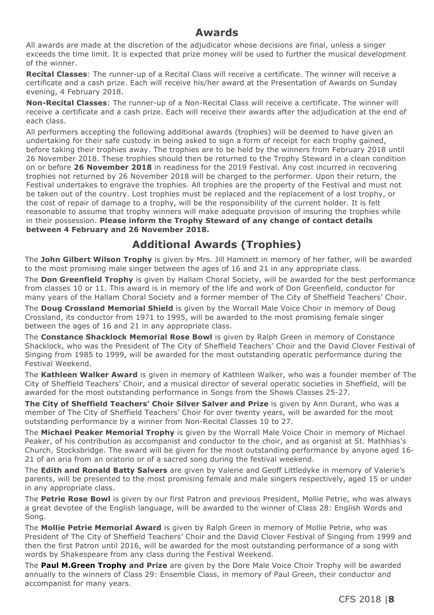#### **Awards**

All awards are made at the discretion of the adjudicator whose decisions are final, unless a singer exceeds the time limit. It is expected that prize money will be used to further the musical development of the winner.

**Recital Classes**: The runner-up of a Recital Class will receive a certificate. The winner will receive a certificate and a cash prize. Each will receive his/her award at the Presentation of Awards on Sunday evening, 4 February 2018.

**Non-Recital Classes**: The runner-up of a Non-Recital Class will receive a certificate. The winner will receive a certificate and a cash prize. Each will receive their awards after the adjudication at the end of each class.

All performers accepting the following additional awards (trophies) will be deemed to have given an undertaking for their safe custody in being asked to sign a form of receipt for each trophy gained, before taking their trophies away. The trophies are to be held by the winners from February 2018 until 26 November 2018. These trophies should then be returned to the Trophy Steward in a clean condition on or before **26 November 2018** in readiness for the 2019 Festival. Any cost incurred in recovering trophies not returned by 26 November 2018 will be charged to the performer. Upon their return, the Festival undertakes to engrave the trophies. All trophies are the property of the Festival and must not be taken out of the country. Lost trophies must be replaced and the replacement of a lost trophy, or the cost of repair of damage to a trophy, will be the responsibility of the current holder. It is felt reasonable to assume that trophy winners will make adequate provision of insuring the trophies while in their possession. **Please inform the Trophy Steward of any change of contact details between 4 February and 26 November 2018.**

#### **Additional Awards (Trophies)**

The **John Gilbert Wilson Trophy** is given by Mrs. Jill Hamnett in memory of her father, will be awarded to the most promising male singer between the ages of 16 and 21 in any appropriate class.

The **Don Greenfield Trophy** is given by Hallam Choral Society, will be awarded for the best performance from classes 10 or 11. This award is in memory of the life and work of Don Greenfield, conductor for many years of the Hallam Choral Society and a former member of The City of Sheffield Teachers' Choir.

The **Doug Crossland Memorial Shield** is given by the Worrall Male Voice Choir in memory of Doug Crossland, its conductor from 1971 to 1995, will be awarded to the most promising female singer between the ages of 16 and 21 in any appropriate class.

The **Constance Shacklock Memorial Rose Bowl** is given by Ralph Green in memory of Constance Shacklock, who was the President of The City of Sheffield Teachers' Choir and the David Clover Festival of Singing from 1985 to 1999, will be awarded for the most outstanding operatic performance during the Festival Weekend.

The **Kathleen Walker Award** is given in memory of Kathleen Walker, who was a founder member of The City of Sheffield Teachers' Choir, and a musical director of several operatic societies in Sheffield, will be awarded for the most outstanding performance in Songs from the Shows Classes 25-27.

**The City of Sheffield Teachers' Choir Silver Salver and Prize** is given by Ann Durant, who was a member of The City of Sheffield Teachers' Choir for over twenty years, will be awarded for the most outstanding performance by a winner from Non-Recital Classes 10 to 27.

The **Michael Peaker Memorial Trophy** is given by the Worrall Male Voice Choir in memory of Michael Peaker, of his contribution as accompanist and conductor to the choir, and as organist at St. Mathhias's Church, Stocksbridge. The award will be given for the most outstanding performance by anyone aged 16- 21 of an aria from an oratorio or of a sacred song during the festival weekend.

The **Edith and Ronald Batty Salvers** are given by Valerie and Geoff Littledyke in memory of Valerie's parents, will be presented to the most promising female and male singers respectively, aged 15 or under in any appropriate class.

The **Petrie Rose Bowl** is given by our first Patron and previous President, Mollie Petrie, who was always a great devotee of the English language, will be awarded to the winner of Class 28: English Words and Song.

The **Mollie Petrie Memorial Award** is given by Ralph Green in memory of Mollie Petrie, who was President of The City of Sheffield Teachers' Choir and the David Clover Festival of Singing from 1999 and then the first Patron until 2016, will be awarded for the most outstanding performance of a song with words by Shakespeare from any class during the Festival Weekend.

The **Paul M.Green Trophy and Prize** are given by the Dore Male Voice Choir Trophy will be awarded annually to the winners of Class 29: Ensemble Class, in memory of Paul Green, their conductor and accompanist for many years.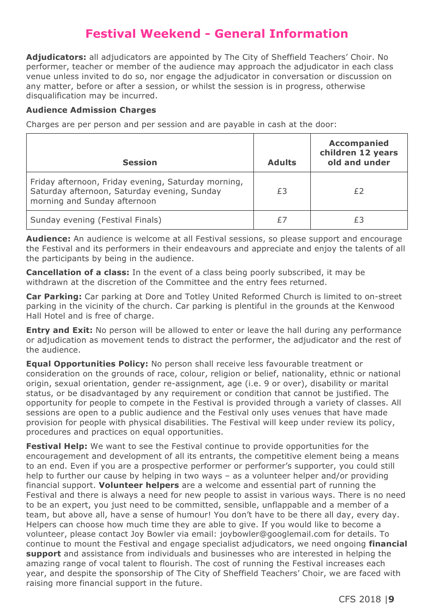#### **Festival Weekend - General Information**

**Adjudicators:** all adjudicators are appointed by The City of Sheffield Teachers' Choir. No performer, teacher or member of the audience may approach the adjudicator in each class venue unless invited to do so, nor engage the adjudicator in conversation or discussion on any matter, before or after a session, or whilst the session is in progress, otherwise disqualification may be incurred.

#### **Audience Admission Charges**

Charges are per person and per session and are payable in cash at the door:

| <b>Session</b>                                                                                                                      | <b>Adults</b> | <b>Accompanied</b><br>children 12 years<br>old and under |
|-------------------------------------------------------------------------------------------------------------------------------------|---------------|----------------------------------------------------------|
| Friday afternoon, Friday evening, Saturday morning,<br>Saturday afternoon, Saturday evening, Sunday<br>morning and Sunday afternoon | £3            | £2                                                       |
| Sunday evening (Festival Finals)                                                                                                    | £7            |                                                          |

**Audience:** An audience is welcome at all Festival sessions, so please support and encourage the Festival and its performers in their endeavours and appreciate and enjoy the talents of all the participants by being in the audience.

**Cancellation of a class:** In the event of a class being poorly subscribed, it may be withdrawn at the discretion of the Committee and the entry fees returned.

**Car Parking:** Car parking at Dore and Totley United Reformed Church is limited to on-street parking in the vicinity of the church. Car parking is plentiful in the grounds at the Kenwood Hall Hotel and is free of charge.

**Entry and Exit:** No person will be allowed to enter or leave the hall during any performance or adjudication as movement tends to distract the performer, the adjudicator and the rest of the audience.

**Equal Opportunities Policy:** No person shall receive less favourable treatment or consideration on the grounds of race, colour, religion or belief, nationality, ethnic or national origin, sexual orientation, gender re-assignment, age (i.e. 9 or over), disability or marital status, or be disadvantaged by any requirement or condition that cannot be justified. The opportunity for people to compete in the Festival is provided through a variety of classes. All sessions are open to a public audience and the Festival only uses venues that have made provision for people with physical disabilities. The Festival will keep under review its policy, procedures and practices on equal opportunities.

**Festival Help:** We want to see the Festival continue to provide opportunities for the encouragement and development of all its entrants, the competitive element being a means to an end. Even if you are a prospective performer or performer's supporter, you could still help to further our cause by helping in two ways – as a volunteer helper and/or providing financial support. **Volunteer helpers** are a welcome and essential part of running the Festival and there is always a need for new people to assist in various ways. There is no need to be an expert, you just need to be committed, sensible, unflappable and a member of a team, but above all, have a sense of humour! You don't have to be there all day, every day. Helpers can choose how much time they are able to give. If you would like to become a volunteer, please contact Joy Bowler via email: joybowler@googlemail.com for details. To continue to mount the Festival and engage specialist adjudicators, we need ongoing **financial support** and assistance from individuals and businesses who are interested in helping the amazing range of vocal talent to flourish. The cost of running the Festival increases each year, and despite the sponsorship of The City of Sheffield Teachers' Choir, we are faced with raising more financial support in the future.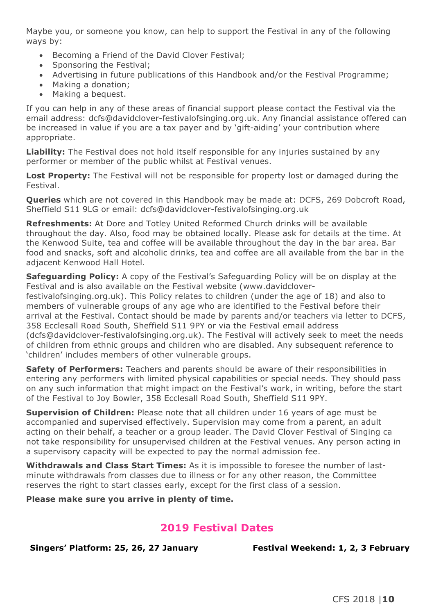Maybe you, or someone you know, can help to support the Festival in any of the following ways by:

- Becoming a Friend of the David Clover Festival;
- Sponsoring the Festival;
- Advertising in future publications of this Handbook and/or the Festival Programme;
- Making a donation;
- Making a bequest.

If you can help in any of these areas of financial support please contact the Festival via the email address: dcfs@davidclover-festivalofsinging.org.uk. Any financial assistance offered can be increased in value if you are a tax payer and by 'gift-aiding' your contribution where appropriate.

**Liability:** The Festival does not hold itself responsible for any injuries sustained by any performer or member of the public whilst at Festival venues.

**Lost Property:** The Festival will not be responsible for property lost or damaged during the Festival.

**Queries** which are not covered in this Handbook may be made at: DCFS, 269 Dobcroft Road, Sheffield S11 9LG or email: dcfs@davidclover-festivalofsinging.org.uk

**Refreshments:** At Dore and Totley United Reformed Church drinks will be available throughout the day. Also, food may be obtained locally. Please ask for details at the time. At the Kenwood Suite, tea and coffee will be available throughout the day in the bar area. Bar food and snacks, soft and alcoholic drinks, tea and coffee are all available from the bar in the adjacent Kenwood Hall Hotel.

**Safeguarding Policy:** A copy of the Festival's Safeguarding Policy will be on display at the Festival and is also available on the Festival website (www.davidclover-

festivalofsinging.org.uk). This Policy relates to children (under the age of 18) and also to members of vulnerable groups of any age who are identified to the Festival before their arrival at the Festival. Contact should be made by parents and/or teachers via letter to DCFS, 358 Ecclesall Road South, Sheffield S11 9PY or via the Festival email address (dcfs@davidclover-festivalofsinging.org.uk). The Festival will actively seek to meet the needs of children from ethnic groups and children who are disabled. Any subsequent reference to 'children' includes members of other vulnerable groups.

**Safety of Performers:** Teachers and parents should be aware of their responsibilities in entering any performers with limited physical capabilities or special needs. They should pass on any such information that might impact on the Festival's work, in writing, before the start of the Festival to Joy Bowler, 358 Ecclesall Road South, Sheffield S11 9PY.

**Supervision of Children:** Please note that all children under 16 years of age must be accompanied and supervised effectively. Supervision may come from a parent, an adult acting on their behalf, a teacher or a group leader. The David Clover Festival of Singing ca not take responsibility for unsupervised children at the Festival venues. Any person acting in a supervisory capacity will be expected to pay the normal admission fee.

**Withdrawals and Class Start Times:** As it is impossible to foresee the number of lastminute withdrawals from classes due to illness or for any other reason, the Committee reserves the right to start classes early, except for the first class of a session.

**Please make sure you arrive in plenty of time.**

#### **2019 Festival Dates**

**Singers' Platform: 25, 26, 27 January Festival Weekend: 1, 2, 3 February**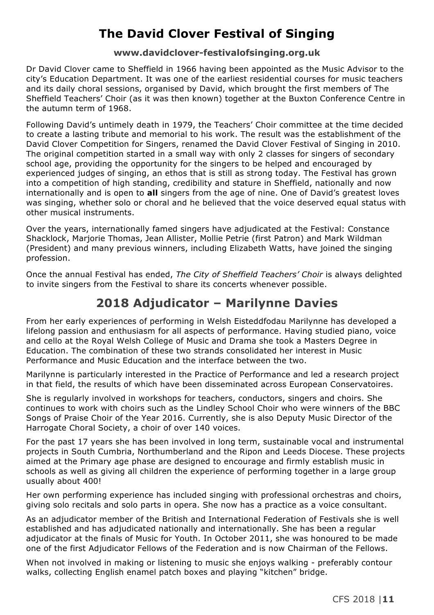#### **The David Clover Festival of Singing**

#### **www.davidclover-festivalofsinging.org.uk**

Dr David Clover came to Sheffield in 1966 having been appointed as the Music Advisor to the city's Education Department. It was one of the earliest residential courses for music teachers and its daily choral sessions, organised by David, which brought the first members of The Sheffield Teachers' Choir (as it was then known) together at the Buxton Conference Centre in the autumn term of 1968.

Following David's untimely death in 1979, the Teachers' Choir committee at the time decided to create a lasting tribute and memorial to his work. The result was the establishment of the David Clover Competition for Singers, renamed the David Clover Festival of Singing in 2010. The original competition started in a small way with only 2 classes for singers of secondary school age, providing the opportunity for the singers to be helped and encouraged by experienced judges of singing, an ethos that is still as strong today. The Festival has grown into a competition of high standing, credibility and stature in Sheffield, nationally and now internationally and is open to **all** singers from the age of nine. One of David's greatest loves was singing, whether solo or choral and he believed that the voice deserved equal status with other musical instruments.

Over the years, internationally famed singers have adjudicated at the Festival: Constance Shacklock, Marjorie Thomas, Jean Allister, Mollie Petrie (first Patron) and Mark Wildman (President) and many previous winners, including Elizabeth Watts, have joined the singing profession.

Once the annual Festival has ended, *The City of Sheffield Teachers' Choir* is always delighted to invite singers from the Festival to share its concerts whenever possible.

#### **2018 Adjudicator – Marilynne Davies**

From her early experiences of performing in Welsh Eisteddfodau Marilynne has developed a lifelong passion and enthusiasm for all aspects of performance. Having studied piano, voice and cello at the Royal Welsh College of Music and Drama she took a Masters Degree in Education. The combination of these two strands consolidated her interest in Music Performance and Music Education and the interface between the two.

Marilynne is particularly interested in the Practice of Performance and led a research project in that field, the results of which have been disseminated across European Conservatoires.

She is regularly involved in workshops for teachers, conductors, singers and choirs. She continues to work with choirs such as the Lindley School Choir who were winners of the BBC Songs of Praise Choir of the Year 2016. Currently, she is also Deputy Music Director of the Harrogate Choral Society, a choir of over 140 voices.

For the past 17 years she has been involved in long term, sustainable vocal and instrumental projects in South Cumbria, Northumberland and the Ripon and Leeds Diocese. These projects aimed at the Primary age phase are designed to encourage and firmly establish music in schools as well as giving all children the experience of performing together in a large group usually about 400!

Her own performing experience has included singing with professional orchestras and choirs, giving solo recitals and solo parts in opera. She now has a practice as a voice consultant.

As an adjudicator member of the British and International Federation of Festivals she is well established and has adjudicated nationally and internationally. She has been a regular adjudicator at the finals of Music for Youth. In October 2011, she was honoured to be made one of the first Adjudicator Fellows of the Federation and is now Chairman of the Fellows.

When not involved in making or listening to music she enjoys walking - preferably contour walks, collecting English enamel patch boxes and playing "kitchen" bridge.